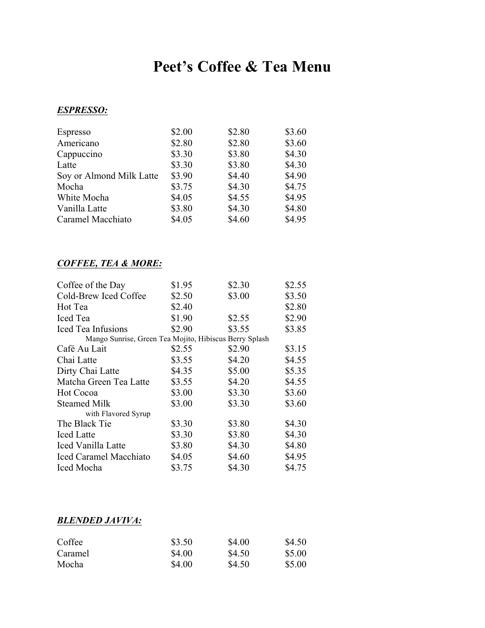# **Peet's Coffee & Tea Menu**

### *ESPRESSO:*

| Espresso                 | \$2.00 | \$2.80 | \$3.60 |
|--------------------------|--------|--------|--------|
| Americano                | \$2.80 | \$2.80 | \$3.60 |
| Cappuccino               | \$3.30 | \$3.80 | \$4.30 |
| Latte                    | \$3.30 | \$3.80 | \$4.30 |
| Soy or Almond Milk Latte | \$3.90 | \$4.40 | \$4.90 |
| Mocha                    | \$3.75 | \$4.30 | \$4.75 |
| White Mocha              | \$4.05 | \$4.55 | \$4.95 |
| Vanilla Latte            | \$3.80 | \$4.30 | \$4.80 |
| Caramel Macchiato        | \$4.05 | \$4.60 | \$4.95 |

## *COFFEE, TEA & MORE:*

| Coffee of the Day                                      | \$1.95 | \$2.30 | \$2.55 |
|--------------------------------------------------------|--------|--------|--------|
| Cold-Brew Iced Coffee                                  | \$2.50 | \$3.00 | \$3.50 |
| Hot Tea                                                | \$2.40 |        | \$2.80 |
| <b>Iced</b> Tea                                        | \$1.90 | \$2.55 | \$2.90 |
| Iced Tea Infusions                                     | \$2.90 | \$3.55 | \$3.85 |
| Mango Sunrise, Green Tea Mojito, Hibiscus Berry Splash |        |        |        |
| Café Au Lait                                           | \$2.55 | \$2.90 | \$3.15 |
| Chai Latte                                             | \$3.55 | \$4.20 | \$4.55 |
| Dirty Chai Latte                                       | \$4.35 | \$5.00 | \$5.35 |
| Matcha Green Tea Latte                                 | \$3.55 | \$4.20 | \$4.55 |
| Hot Cocoa                                              | \$3.00 | \$3.30 | \$3.60 |
| <b>Steamed Milk</b>                                    | \$3.00 | \$3.30 | \$3.60 |
| with Flavored Syrup                                    |        |        |        |
| The Black Tie                                          | \$3.30 | \$3.80 | \$4.30 |
| <b>Iced</b> Latte                                      | \$3.30 | \$3.80 | \$4.30 |
| Iced Vanilla Latte                                     | \$3.80 | \$4.30 | \$4.80 |
| <b>Iced Caramel Macchiato</b>                          | \$4.05 | \$4.60 | \$4.95 |
| Iced Mocha                                             | \$3.75 | \$4.30 | \$4.75 |

## *BLENDED JAVIVA:*

| Coffee  | \$3.50 | \$4.00 | \$4.50 |
|---------|--------|--------|--------|
| Caramel | \$4.00 | \$4.50 | \$5.00 |
| Mocha   | \$4.00 | \$4.50 | \$5.00 |